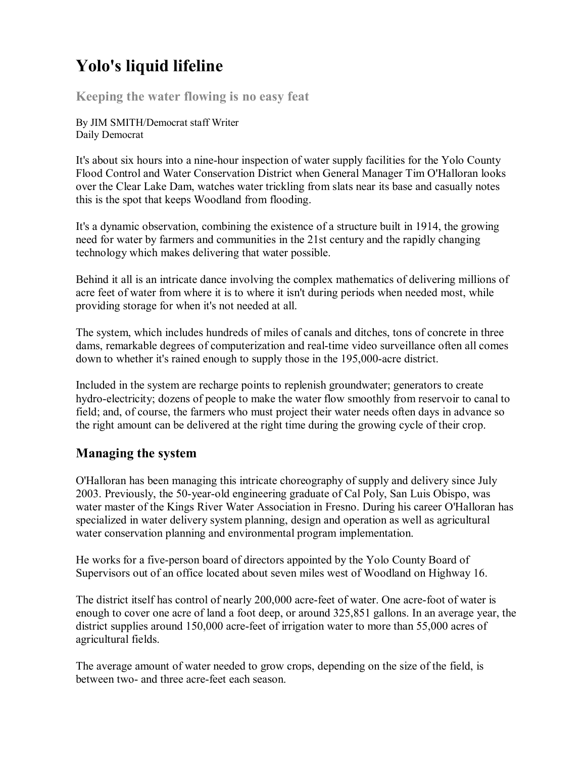# **Yolo's liquid lifeline**

**Keeping the water flowing is no easy feat**

By JIM SMITH/Democrat staff Writer Daily Democrat

It's about six hours into a nine-hour inspection of water supply facilities for the Yolo County Flood Control and Water Conservation District when General Manager Tim O'Halloran looks over the Clear Lake Dam, watches water trickling from slats near its base and casually notes this is the spot that keeps Woodland from flooding.

It's a dynamic observation, combining the existence of a structure built in 1914, the growing need for water by farmers and communities in the 21st century and the rapidly changing technology which makes delivering that water possible.

Behind it all is an intricate dance involving the complex mathematics of delivering millions of acre feet of water from where it is to where it isn't during periods when needed most, while providing storage for when it's not needed at all.

The system, which includes hundreds of miles of canals and ditches, tons of concrete in three dams, remarkable degrees of computerization and real-time video surveillance often all comes down to whether it's rained enough to supply those in the 195,000-acre district.

Included in the system are recharge points to replenish groundwater; generators to create hydro-electricity; dozens of people to make the water flow smoothly from reservoir to canal to field; and, of course, the farmers who must project their water needs often days in advance so the right amount can be delivered at the right time during the growing cycle of their crop.

## **Managing the system**

O'Halloran has been managing this intricate choreography of supply and delivery since July 2003. Previously, the 50-year-old engineering graduate of Cal Poly, San Luis Obispo, was water master of the Kings River Water Association in Fresno. During his career O'Halloran has specialized in water delivery system planning, design and operation as well as agricultural water conservation planning and environmental program implementation.

He works for a five-person board of directors appointed by the Yolo County Board of Supervisors out of an office located about seven miles west of Woodland on Highway 16.

The district itself has control of nearly 200,000 acre-feet of water. One acre-foot of water is enough to cover one acre of land a foot deep, or around 325,851 gallons. In an average year, the district supplies around 150,000 acre-feet of irrigation water to more than 55,000 acres of agricultural fields.

The average amount of water needed to grow crops, depending on the size of the field, is between two- and three acre-feet each season.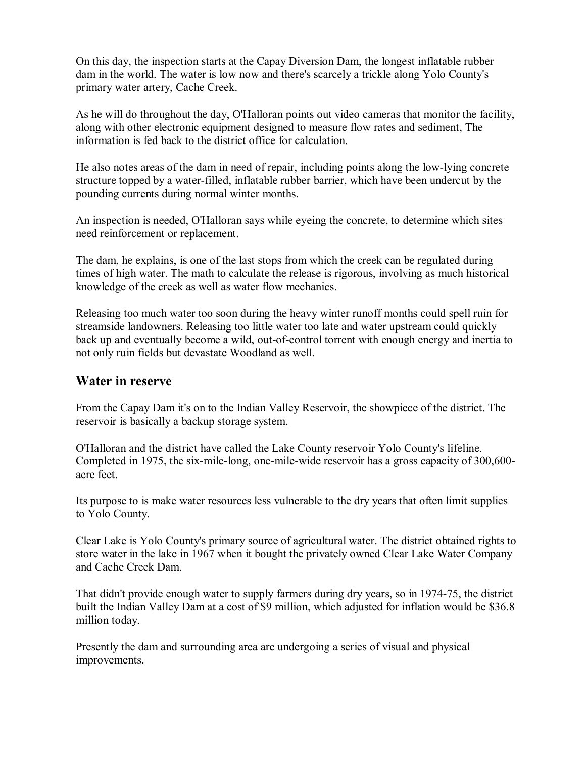On this day, the inspection starts at the Capay Diversion Dam, the longest inflatable rubber dam in the world. The water is low now and there's scarcely a trickle along Yolo County's primary water artery, Cache Creek.

As he will do throughout the day, O'Halloran points out video cameras that monitor the facility, along with other electronic equipment designed to measure flow rates and sediment, The information is fed back to the district office for calculation.

He also notes areas of the dam in need of repair, including points along the low-lying concrete structure topped by a water-filled, inflatable rubber barrier, which have been undercut by the pounding currents during normal winter months.

An inspection is needed, O'Halloran says while eyeing the concrete, to determine which sites need reinforcement or replacement.

The dam, he explains, is one of the last stops from which the creek can be regulated during times of high water. The math to calculate the release is rigorous, involving as much historical knowledge of the creek as well as water flow mechanics.

Releasing too much water too soon during the heavy winter runoff months could spell ruin for streamside landowners. Releasing too little water too late and water upstream could quickly back up and eventually become a wild, out-of-control torrent with enough energy and inertia to not only ruin fields but devastate Woodland as well.

#### **Water in reserve**

From the Capay Dam it's on to the Indian Valley Reservoir, the showpiece of the district. The reservoir is basically a backup storage system.

O'Halloran and the district have called the Lake County reservoir Yolo County's lifeline. Completed in 1975, the six-mile-long, one-mile-wide reservoir has a gross capacity of  $300,600$ acre feet.

Its purpose to is make water resources less vulnerable to the dry years that often limit supplies to Yolo County.

Clear Lake is Yolo County's primary source of agricultural water. The district obtained rights to store water in the lake in 1967 when it bought the privately owned Clear Lake Water Company and Cache Creek Dam.

That didn't provide enough water to supply farmers during dry years, so in 1974-75, the district built the Indian Valley Dam at a cost of \$9 million, which adjusted for inflation would be \$36.8 million today.

Presently the dam and surrounding area are undergoing a series of visual and physical improvements.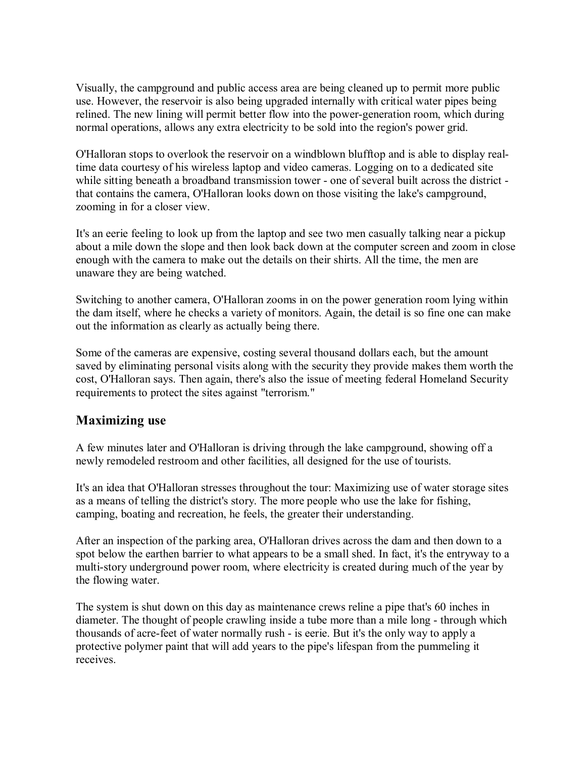Visually, the campground and public access area are being cleaned up to permit more public use. However, the reservoir is also being upgraded internally with critical water pipes being relined. The new lining will permit better flow into the power-generation room, which during normal operations, allows any extra electricity to be sold into the region's power grid.

O'Halloran stops to overlook the reservoir on a windblown blufftop and is able to display realtime data courtesy of his wireless laptop and video cameras. Logging on to a dedicated site while sitting beneath a broadband transmission tower - one of several built across the district that contains the camera, O'Halloran looks down on those visiting the lake's campground, zooming in for a closer view.

It's an eerie feeling to look up from the laptop and see two men casually talking near a pickup about a mile down the slope and then look back down at the computer screen and zoom in close enough with the camera to make out the details on their shirts. All the time, the men are unaware they are being watched.

Switching to another camera, O'Halloran zooms in on the power generation room lying within the dam itself, where he checks a variety of monitors. Again, the detail is so fine one can make out the information as clearly as actually being there.

Some of the cameras are expensive, costing several thousand dollars each, but the amount saved by eliminating personal visits along with the security they provide makes them worth the cost, O'Halloran says. Then again, there's also the issue of meeting federal Homeland Security requirements to protect the sites against "terrorism."

## **Maximizing use**

A few minutes later and O'Halloran is driving through the lake campground, showing off a newly remodeled restroom and other facilities, all designed for the use of tourists.

It's an idea that O'Halloran stresses throughout the tour: Maximizing use of water storage sites as a means of telling the district's story. The more people who use the lake for fishing, camping, boating and recreation, he feels, the greater their understanding.

After an inspection of the parking area, O'Halloran drives across the dam and then down to a spot below the earthen barrier to what appears to be a small shed. In fact, it's the entryway to a multi-story underground power room, where electricity is created during much of the year by the flowing water.

The system is shut down on this day as maintenance crews reline a pipe that's 60 inches in diameter. The thought of people crawling inside a tube more than a mile long - through which thousands of acre-feet of water normally rush - is eerie. But it's the only way to apply a protective polymer paint that will add years to the pipe's lifespan from the pummeling it receives.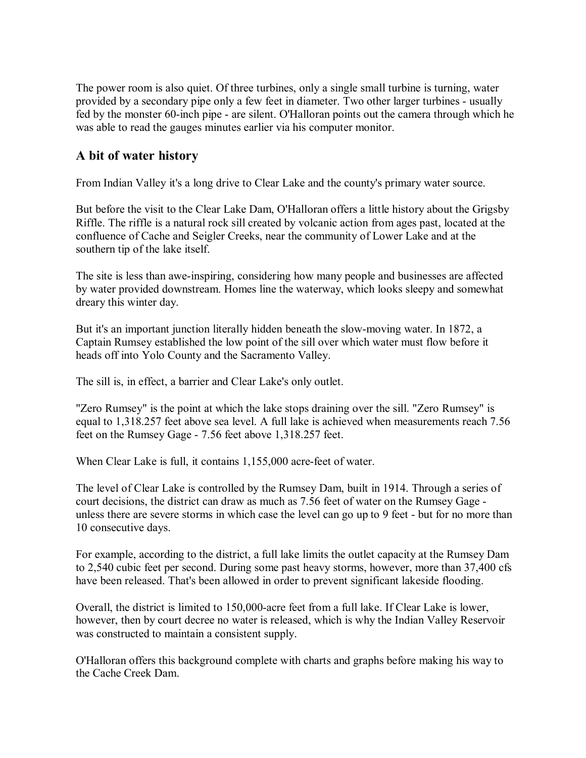The power room is also quiet. Of three turbines, only a single small turbine is turning, water provided by a secondary pipe only a few feet in diameter. Two other larger turbines - usually fed by the monster 60-inch pipe - are silent. O'Halloran points out the camera through which he was able to read the gauges minutes earlier via his computer monitor.

#### **A bit of water history**

From Indian Valley it's a long drive to Clear Lake and the county's primary water source.

But before the visit to the Clear Lake Dam, O'Halloran offers a little history about the Grigsby Riffle. The riffle is a natural rock sill created by volcanic action from ages past, located at the confluence of Cache and Seigler Creeks, near the community of Lower Lake and at the southern tip of the lake itself.

The site is less than awe-inspiring, considering how many people and businesses are affected by water provided downstream. Homes line the waterway, which looks sleepy and somewhat dreary this winter day.

But it's an important junction literally hidden beneath the slow-moving water. In 1872, a Captain Rumsey established the low point of the sill over which water must flow before it heads off into Yolo County and the Sacramento Valley.

The sill is, in effect, a barrier and Clear Lake's only outlet.

"Zero Rumsey" is the point at which the lake stops draining over the sill. "Zero Rumsey" is equal to 1,318.257 feet above sea level. A full lake is achieved when measurements reach 7.56 feet on the Rumsey Gage - 7.56 feet above 1,318.257 feet.

When Clear Lake is full, it contains 1,155,000 acre-feet of water.

The level of Clear Lake is controlled by the Rumsey Dam, built in 1914. Through a series of court decisions, the district can draw as much as 7.56 feet of water on the Rumsey Gage unless there are severe storms in which case the level can go up to 9 feet - but for no more than 10 consecutive days.

For example, according to the district, a full lake limits the outlet capacity at the Rumsey Dam to 2,540 cubic feet per second. During some past heavy storms, however, more than 37,400 cfs have been released. That's been allowed in order to prevent significant lakeside flooding.

Overall, the district is limited to 150,000-acre feet from a full lake. If Clear Lake is lower, however, then by court decree no water is released, which is why the Indian Valley Reservoir was constructed to maintain a consistent supply.

O'Halloran offers this background complete with charts and graphs before making his way to the Cache Creek Dam.